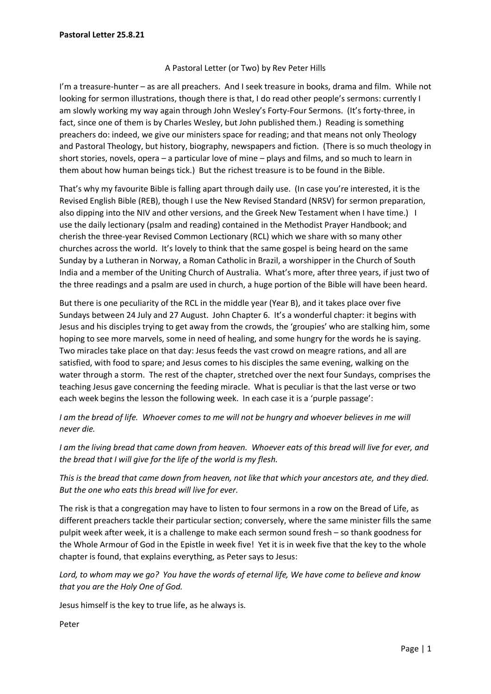## A Pastoral Letter (or Two) by Rev Peter Hills

I'm a treasure-hunter – as are all preachers. And I seek treasure in books, drama and film. While not looking for sermon illustrations, though there is that, I do read other people's sermons: currently I am slowly working my way again through John Wesley's Forty-Four Sermons. (It's forty-three, in fact, since one of them is by Charles Wesley, but John published them.) Reading is something preachers do: indeed, we give our ministers space for reading; and that means not only Theology and Pastoral Theology, but history, biography, newspapers and fiction. (There is so much theology in short stories, novels, opera – a particular love of mine – plays and films, and so much to learn in them about how human beings tick.) But the richest treasure is to be found in the Bible.

That's why my favourite Bible is falling apart through daily use. (In case you're interested, it is the Revised English Bible (REB), though I use the New Revised Standard (NRSV) for sermon preparation, also dipping into the NIV and other versions, and the Greek New Testament when I have time.) I use the daily lectionary (psalm and reading) contained in the Methodist Prayer Handbook; and cherish the three-year Revised Common Lectionary (RCL) which we share with so many other churches across the world. It's lovely to think that the same gospel is being heard on the same Sunday by a Lutheran in Norway, a Roman Catholic in Brazil, a worshipper in the Church of South India and a member of the Uniting Church of Australia. What's more, after three years, if just two of the three readings and a psalm are used in church, a huge portion of the Bible will have been heard.

But there is one peculiarity of the RCL in the middle year (Year B), and it takes place over five Sundays between 24 July and 27 August. John Chapter 6. It's a wonderful chapter: it begins with Jesus and his disciples trying to get away from the crowds, the 'groupies' who are stalking him, some hoping to see more marvels, some in need of healing, and some hungry for the words he is saying. Two miracles take place on that day: Jesus feeds the vast crowd on meagre rations, and all are satisfied, with food to spare; and Jesus comes to his disciples the same evening, walking on the water through a storm. The rest of the chapter, stretched over the next four Sundays, comprises the teaching Jesus gave concerning the feeding miracle. What is peculiar is that the last verse or two each week begins the lesson the following week. In each case it is a 'purple passage':

*I am the bread of life. Whoever comes to me will not be hungry and whoever believes in me will never die.* 

*I am the living bread that came down from heaven. Whoever eats of this bread will live for ever, and the bread that I will give for the life of the world is my flesh.*

*This is the bread that came down from heaven, not like that which your ancestors ate, and they died. But the one who eats this bread will live for ever.*

The risk is that a congregation may have to listen to four sermons in a row on the Bread of Life, as different preachers tackle their particular section; conversely, where the same minister fills the same pulpit week after week, it is a challenge to make each sermon sound fresh – so thank goodness for the Whole Armour of God in the Epistle in week five! Yet it is in week five that the key to the whole chapter is found, that explains everything, as Peter says to Jesus:

*Lord, to whom may we go? You have the words of eternal life, We have come to believe and know that you are the Holy One of God.*

Jesus himself is the key to true life, as he always is.

Peter